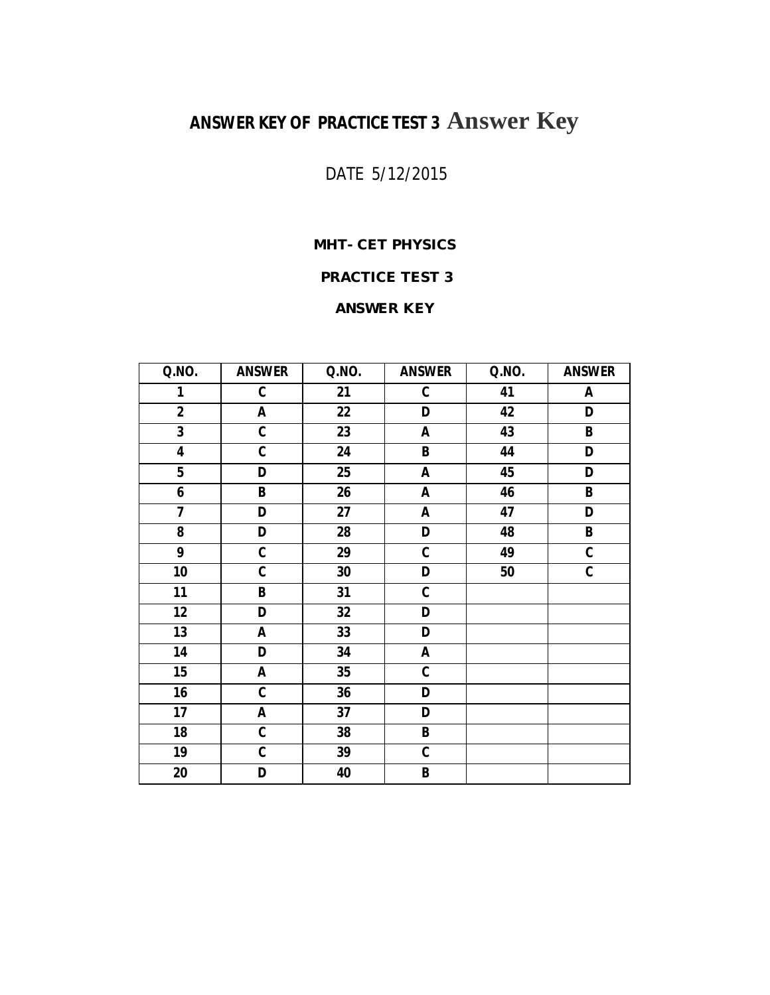# **ANSWER KEY OF PRACTICE TEST 3 Answer Key**

# DATE 5/12/2015

# **MHT- CET PHYSICS**

## **PRACTICE TEST 3**

### **ANSWER KEY**

| Q.NO.                   | <b>ANSWER</b>             | Q.NO. | <b>ANSWER</b> | Q.NO. | <b>ANSWER</b>           |
|-------------------------|---------------------------|-------|---------------|-------|-------------------------|
| 1                       | $\mathbf C$               | 21    | ${\bf C}$     | 41    | A                       |
| $\overline{2}$          | A                         | 22    | D             | 42    | D                       |
| $\overline{\mathbf{3}}$ | $\overline{\mathfrak{c}}$ | 23    | A             | 43    | $\overline{\mathsf{B}}$ |
| $\overline{4}$          | $\mathbf c$               | 24    | B             | 44    | D                       |
| $\overline{5}$          | D                         | 25    | A             | 45    | D                       |
| 6                       | B                         | 26    | Α             | 46    | B                       |
| $\overline{\mathbf{z}}$ | D                         | 27    | Α             | 47    | D                       |
| 8                       | D                         | 28    | D             | 48    | B                       |
| 9                       | $\mathbf c$               | 29    | $\mathfrak c$ | 49    | $\mathbf c$             |
| 10                      | $\mathbf c$               | 30    | D             | 50    | C                       |
| 11                      | B                         | 31    | C             |       |                         |
| 12                      | D                         | 32    | D             |       |                         |
| 13                      | A                         | 33    | D             |       |                         |
| 14                      | D                         | 34    | A             |       |                         |
| 15                      | A                         | 35    | C             |       |                         |
| 16                      | $\mathbf c$               | 36    | D             |       |                         |
| 17                      | A                         | 37    | D             |       |                         |
| 18                      | $\mathbf c$               | 38    | B             |       |                         |
| 19                      | $\mathbf c$               | 39    | C             |       |                         |
| 20                      | D                         | 40    | B             |       |                         |